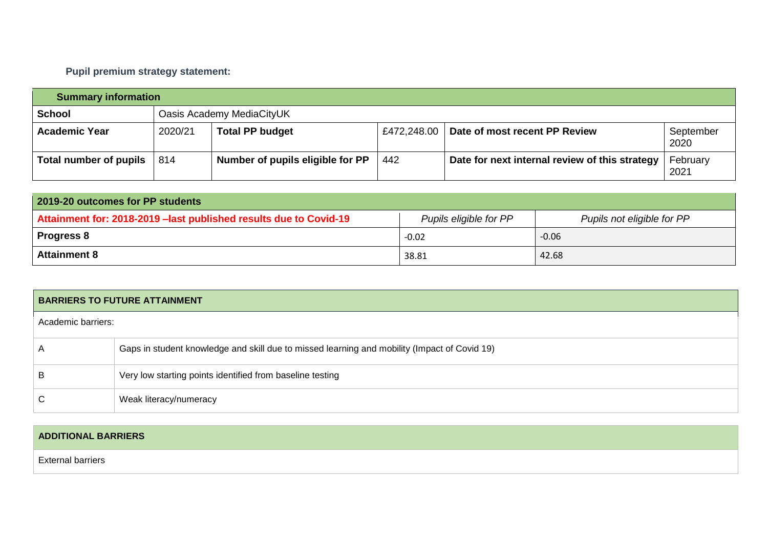**Pupil premium strategy statement:**

| <b>Summary information</b> |         |                                  |     |                                                |                   |  |
|----------------------------|---------|----------------------------------|-----|------------------------------------------------|-------------------|--|
| School                     |         | Oasis Academy MediaCityUK        |     |                                                |                   |  |
| <b>Academic Year</b>       | 2020/21 | <b>Total PP budget</b>           |     | £472,248.00 Date of most recent PP Review      | September<br>2020 |  |
| Total number of pupils     | 814     | Number of pupils eligible for PP | 442 | Date for next internal review of this strategy | February<br>2021  |  |

| 2019-20 outcomes for PP students                                   |                        |                            |  |  |  |  |
|--------------------------------------------------------------------|------------------------|----------------------------|--|--|--|--|
| Attainment for: 2018-2019 - last published results due to Covid-19 | Pupils eligible for PP | Pupils not eligible for PP |  |  |  |  |
| <b>Progress 8</b>                                                  | $-0.02$                | $-0.06$                    |  |  |  |  |
| <b>Attainment 8</b>                                                | 38.81                  | 42.68                      |  |  |  |  |

|                    | <b>BARRIERS TO FUTURE ATTAINMENT</b>                                                         |  |  |  |
|--------------------|----------------------------------------------------------------------------------------------|--|--|--|
| Academic barriers: |                                                                                              |  |  |  |
|                    | Gaps in student knowledge and skill due to missed learning and mobility (Impact of Covid 19) |  |  |  |
| В                  | Very low starting points identified from baseline testing                                    |  |  |  |
|                    | Weak literacy/numeracy                                                                       |  |  |  |

| <b>ADDITIONAL BARRIERS</b> |  |
|----------------------------|--|
| <b>External barriers</b>   |  |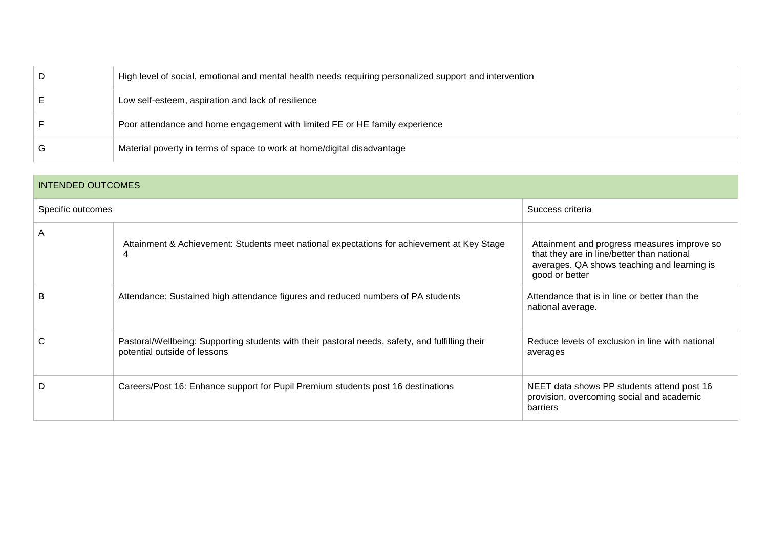| High level of social, emotional and mental health needs requiring personalized support and intervention |
|---------------------------------------------------------------------------------------------------------|
| Low self-esteem, aspiration and lack of resilience                                                      |
| Poor attendance and home engagement with limited FE or HE family experience                             |
| Material poverty in terms of space to work at home/digital disadvantage                                 |

| <b>INTENDED OUTCOMES</b> |                                                                                                                                 |                                                                                                                                                            |  |  |  |
|--------------------------|---------------------------------------------------------------------------------------------------------------------------------|------------------------------------------------------------------------------------------------------------------------------------------------------------|--|--|--|
| Specific outcomes        |                                                                                                                                 | Success criteria                                                                                                                                           |  |  |  |
| A                        | Attainment & Achievement: Students meet national expectations for achievement at Key Stage<br>4                                 | Attainment and progress measures improve so<br>that they are in line/better than national<br>averages. QA shows teaching and learning is<br>good or better |  |  |  |
|                          | Attendance: Sustained high attendance figures and reduced numbers of PA students                                                | Attendance that is in line or better than the<br>national average.                                                                                         |  |  |  |
|                          | Pastoral/Wellbeing: Supporting students with their pastoral needs, safety, and fulfilling their<br>potential outside of lessons | Reduce levels of exclusion in line with national<br>averages                                                                                               |  |  |  |
|                          | Careers/Post 16: Enhance support for Pupil Premium students post 16 destinations                                                | NEET data shows PP students attend post 16<br>provision, overcoming social and academic<br><b>barriers</b>                                                 |  |  |  |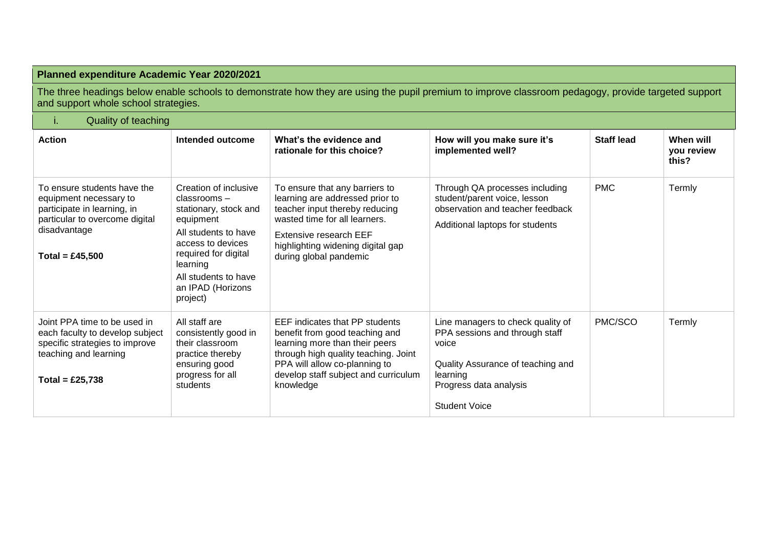## **Planned expenditure Academic Year 2020/2021**

The three headings below enable schools to demonstrate how they are using the pupil premium to improve classroom pedagogy, provide targeted support and support whole school strategies.

| i.<br>Quality of teaching                                                                                                                                   |                                                                                                                                                                                                                         |                                                                                                                                                                                                                                  |                                                                                                                                                                                 |                   |                                  |
|-------------------------------------------------------------------------------------------------------------------------------------------------------------|-------------------------------------------------------------------------------------------------------------------------------------------------------------------------------------------------------------------------|----------------------------------------------------------------------------------------------------------------------------------------------------------------------------------------------------------------------------------|---------------------------------------------------------------------------------------------------------------------------------------------------------------------------------|-------------------|----------------------------------|
| <b>Action</b>                                                                                                                                               | Intended outcome                                                                                                                                                                                                        | What's the evidence and<br>rationale for this choice?                                                                                                                                                                            | How will you make sure it's<br>implemented well?                                                                                                                                | <b>Staff lead</b> | When will<br>you review<br>this? |
| To ensure students have the<br>equipment necessary to<br>participate in learning, in<br>particular to overcome digital<br>disadvantage<br>Total = $£45,500$ | Creation of inclusive<br>$classrooms -$<br>stationary, stock and<br>equipment<br>All students to have<br>access to devices<br>required for digital<br>learning<br>All students to have<br>an IPAD (Horizons<br>project) | To ensure that any barriers to<br>learning are addressed prior to<br>teacher input thereby reducing<br>wasted time for all learners.<br>Extensive research EEF<br>highlighting widening digital gap<br>during global pandemic    | Through QA processes including<br>student/parent voice, lesson<br>observation and teacher feedback<br>Additional laptops for students                                           | <b>PMC</b>        | Termly                           |
| Joint PPA time to be used in<br>each faculty to develop subject<br>specific strategies to improve<br>teaching and learning<br>Total = $£25,738$             | All staff are<br>consistently good in<br>their classroom<br>practice thereby<br>ensuring good<br>progress for all<br>students                                                                                           | EEF indicates that PP students<br>benefit from good teaching and<br>learning more than their peers<br>through high quality teaching. Joint<br>PPA will allow co-planning to<br>develop staff subject and curriculum<br>knowledge | Line managers to check quality of<br>PPA sessions and through staff<br>voice<br>Quality Assurance of teaching and<br>learning<br>Progress data analysis<br><b>Student Voice</b> | PMC/SCO           | Termly                           |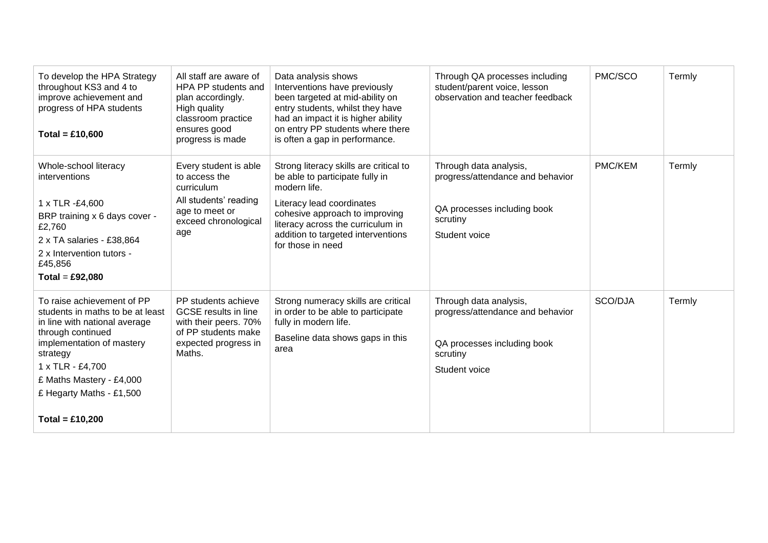| To develop the HPA Strategy<br>throughout KS3 and 4 to<br>improve achievement and<br>progress of HPA students<br>Total = $£10,600$                                                                                                                           | All staff are aware of<br>HPA PP students and<br>plan accordingly.<br>High quality<br>classroom practice<br>ensures good<br>progress is made | Data analysis shows<br>Interventions have previously<br>been targeted at mid-ability on<br>entry students, whilst they have<br>had an impact it is higher ability<br>on entry PP students where there<br>is often a gap in performance.                  | Through QA processes including<br>student/parent voice, lesson<br>observation and teacher feedback                     | PMC/SCO | Termly |
|--------------------------------------------------------------------------------------------------------------------------------------------------------------------------------------------------------------------------------------------------------------|----------------------------------------------------------------------------------------------------------------------------------------------|----------------------------------------------------------------------------------------------------------------------------------------------------------------------------------------------------------------------------------------------------------|------------------------------------------------------------------------------------------------------------------------|---------|--------|
| Whole-school literacy<br>interventions<br>1 x TLR -£4,600<br>BRP training x 6 days cover -<br>£2,760<br>2 x TA salaries - £38,864<br>2 x Intervention tutors -<br>£45,856<br>$Total = £92,080$                                                               | Every student is able<br>to access the<br>curriculum<br>All students' reading<br>age to meet or<br>exceed chronological<br>age               | Strong literacy skills are critical to<br>be able to participate fully in<br>modern life.<br>Literacy lead coordinates<br>cohesive approach to improving<br>literacy across the curriculum in<br>addition to targeted interventions<br>for those in need | Through data analysis,<br>progress/attendance and behavior<br>QA processes including book<br>scrutiny<br>Student voice | PMC/KEM | Termly |
| To raise achievement of PP<br>students in maths to be at least<br>in line with national average<br>through continued<br>implementation of mastery<br>strategy<br>1 x TLR - £4,700<br>£ Maths Mastery - £4,000<br>£ Hegarty Maths - £1,500<br>Total = £10,200 | PP students achieve<br>GCSE results in line<br>with their peers. 70%<br>of PP students make<br>expected progress in<br>Maths.                | Strong numeracy skills are critical<br>in order to be able to participate<br>fully in modern life.<br>Baseline data shows gaps in this<br>area                                                                                                           | Through data analysis,<br>progress/attendance and behavior<br>QA processes including book<br>scrutiny<br>Student voice | SCO/DJA | Termly |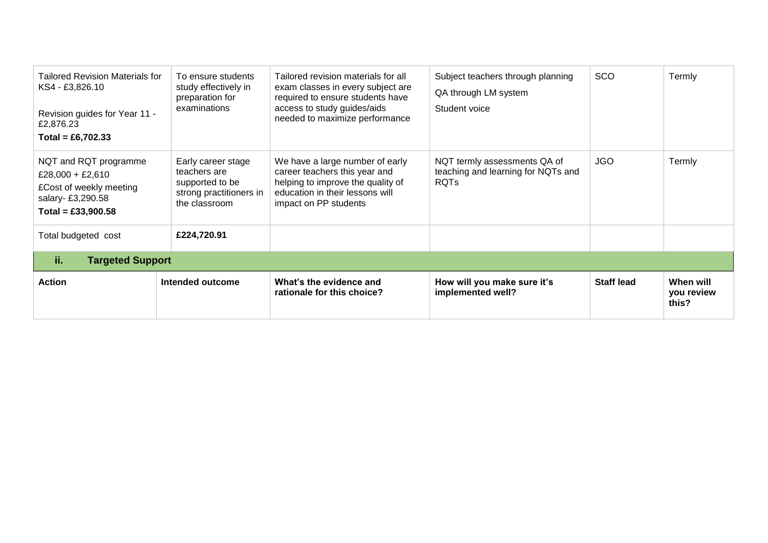| Tailored Revision Materials for<br>KS4 - £3,826.10<br>Revision guides for Year 11 -<br>£2,876.23<br>Total = £6,702.33 | To ensure students<br>study effectively in<br>preparation for<br>examinations                     | Tailored revision materials for all<br>exam classes in every subject are<br>required to ensure students have<br>access to study guides/aids<br>needed to maximize performance | Subject teachers through planning<br>QA through LM system<br>Student voice        | SCO               | Termly                           |  |  |
|-----------------------------------------------------------------------------------------------------------------------|---------------------------------------------------------------------------------------------------|-------------------------------------------------------------------------------------------------------------------------------------------------------------------------------|-----------------------------------------------------------------------------------|-------------------|----------------------------------|--|--|
| NQT and RQT programme<br>£28,000 + £2,610<br>£Cost of weekly meeting<br>salary- £3,290.58<br>Total = £33,900.58       | Early career stage<br>teachers are<br>supported to be<br>strong practitioners in<br>the classroom | We have a large number of early<br>career teachers this year and<br>helping to improve the quality of<br>education in their lessons will<br>impact on PP students             | NQT termly assessments QA of<br>teaching and learning for NQTs and<br><b>RQTs</b> | <b>JGO</b>        | Termly                           |  |  |
| Total budgeted cost                                                                                                   | £224,720.91                                                                                       |                                                                                                                                                                               |                                                                                   |                   |                                  |  |  |
| ii.                                                                                                                   | <b>Targeted Support</b>                                                                           |                                                                                                                                                                               |                                                                                   |                   |                                  |  |  |
| Action                                                                                                                | Intended outcome                                                                                  | What's the evidence and<br>rationale for this choice?                                                                                                                         | How will you make sure it's<br>implemented well?                                  | <b>Staff lead</b> | When will<br>you review<br>this? |  |  |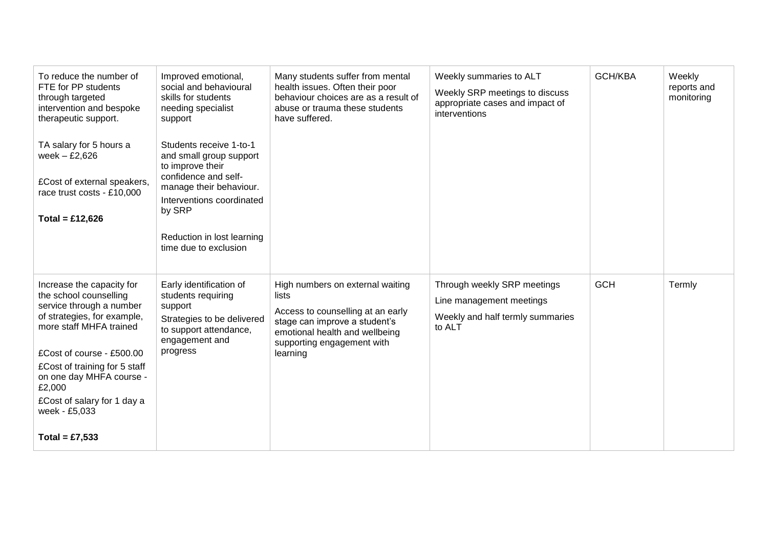| To reduce the number of<br>FTE for PP students<br>through targeted<br>intervention and bespoke<br>therapeutic support.<br>TA salary for 5 hours a<br>week $-$ £2,626<br>£Cost of external speakers,<br>race trust costs - £10,000<br>Total = $£12,626$                                                            | Improved emotional,<br>social and behavioural<br>skills for students<br>needing specialist<br>support<br>Students receive 1-to-1<br>and small group support<br>to improve their<br>confidence and self-<br>manage their behaviour.<br>Interventions coordinated<br>by SRP<br>Reduction in lost learning<br>time due to exclusion | Many students suffer from mental<br>health issues. Often their poor<br>behaviour choices are as a result of<br>abuse or trauma these students<br>have suffered.                             | Weekly summaries to ALT<br>Weekly SRP meetings to discuss<br>appropriate cases and impact of<br>interventions | <b>GCH/KBA</b> | Weekly<br>reports and<br>monitoring |
|-------------------------------------------------------------------------------------------------------------------------------------------------------------------------------------------------------------------------------------------------------------------------------------------------------------------|----------------------------------------------------------------------------------------------------------------------------------------------------------------------------------------------------------------------------------------------------------------------------------------------------------------------------------|---------------------------------------------------------------------------------------------------------------------------------------------------------------------------------------------|---------------------------------------------------------------------------------------------------------------|----------------|-------------------------------------|
| Increase the capacity for<br>the school counselling<br>service through a number<br>of strategies, for example,<br>more staff MHFA trained<br>£Cost of course - £500.00<br>£Cost of training for 5 staff<br>on one day MHFA course -<br>£2,000<br>£Cost of salary for 1 day a<br>week - £5,033<br>Total = $£7,533$ | Early identification of<br>students requiring<br>support<br>Strategies to be delivered<br>to support attendance,<br>engagement and<br>progress                                                                                                                                                                                   | High numbers on external waiting<br>lists<br>Access to counselling at an early<br>stage can improve a student's<br>emotional health and wellbeing<br>supporting engagement with<br>learning | Through weekly SRP meetings<br>Line management meetings<br>Weekly and half termly summaries<br>to ALT         | <b>GCH</b>     | Termly                              |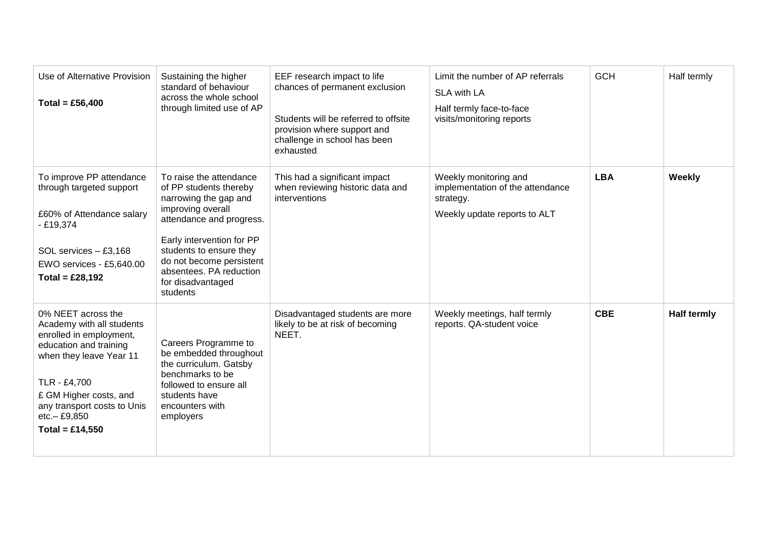| Use of Alternative Provision<br>Total = £56,400                                                                                                                                                                                             | Sustaining the higher<br>standard of behaviour<br>across the whole school<br>through limited use of AP                                                                                                                                                                      | EEF research impact to life<br>chances of permanent exclusion<br>Students will be referred to offsite<br>provision where support and<br>challenge in school has been<br>exhausted | Limit the number of AP referrals<br>SLA with LA<br>Half termly face-to-face<br>visits/monitoring reports | <b>GCH</b> | Half termly        |
|---------------------------------------------------------------------------------------------------------------------------------------------------------------------------------------------------------------------------------------------|-----------------------------------------------------------------------------------------------------------------------------------------------------------------------------------------------------------------------------------------------------------------------------|-----------------------------------------------------------------------------------------------------------------------------------------------------------------------------------|----------------------------------------------------------------------------------------------------------|------------|--------------------|
| To improve PP attendance<br>through targeted support<br>£60% of Attendance salary<br>$-£19,374$<br>SOL services - £3,168<br>EWO services - £5,640.00<br>Total = $£28,192$                                                                   | To raise the attendance<br>of PP students thereby<br>narrowing the gap and<br>improving overall<br>attendance and progress.<br>Early intervention for PP<br>students to ensure they<br>do not become persistent<br>absentees. PA reduction<br>for disadvantaged<br>students | This had a significant impact<br>when reviewing historic data and<br>interventions                                                                                                | Weekly monitoring and<br>implementation of the attendance<br>strategy.<br>Weekly update reports to ALT   | <b>LBA</b> | Weekly             |
| 0% NEET across the<br>Academy with all students<br>enrolled in employment,<br>education and training<br>when they leave Year 11<br>TLR - £4,700<br>£ GM Higher costs, and<br>any transport costs to Unis<br>etc.- £9,850<br>Total = £14,550 | Careers Programme to<br>be embedded throughout<br>the curriculum. Gatsby<br>benchmarks to be<br>followed to ensure all<br>students have<br>encounters with<br>employers                                                                                                     | Disadvantaged students are more<br>likely to be at risk of becoming<br>NEET.                                                                                                      | Weekly meetings, half termly<br>reports. QA-student voice                                                | <b>CBE</b> | <b>Half termly</b> |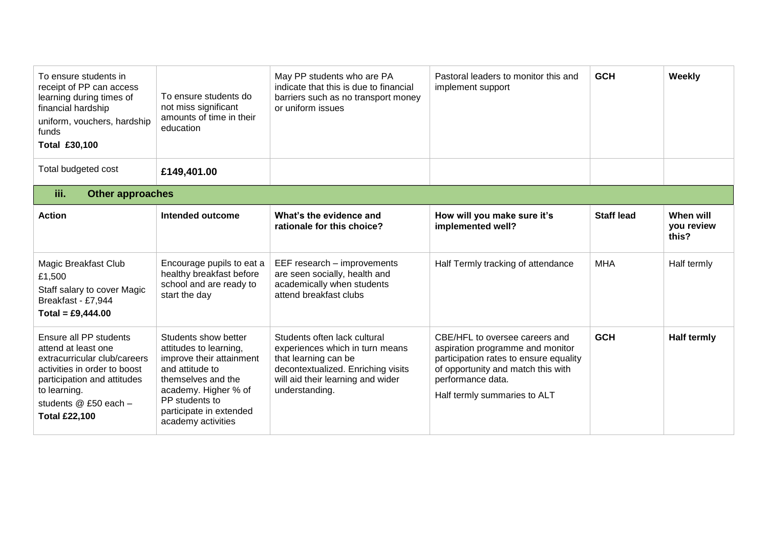| To ensure students in<br>receipt of PP can access<br>learning during times of<br>financial hardship<br>uniform, vouchers, hardship<br>funds<br><b>Total £30,100</b>                                           | To ensure students do<br>not miss significant<br>amounts of time in their<br>education                                                                                                                         | May PP students who are PA<br>indicate that this is due to financial<br>barriers such as no transport money<br>or uniform issues                                                     | Pastoral leaders to monitor this and<br>implement support                                                                                                                                               | <b>GCH</b>        | Weekly                           |
|---------------------------------------------------------------------------------------------------------------------------------------------------------------------------------------------------------------|----------------------------------------------------------------------------------------------------------------------------------------------------------------------------------------------------------------|--------------------------------------------------------------------------------------------------------------------------------------------------------------------------------------|---------------------------------------------------------------------------------------------------------------------------------------------------------------------------------------------------------|-------------------|----------------------------------|
| Total budgeted cost                                                                                                                                                                                           | £149,401.00                                                                                                                                                                                                    |                                                                                                                                                                                      |                                                                                                                                                                                                         |                   |                                  |
| iii.<br><b>Other approaches</b>                                                                                                                                                                               |                                                                                                                                                                                                                |                                                                                                                                                                                      |                                                                                                                                                                                                         |                   |                                  |
| <b>Action</b>                                                                                                                                                                                                 | Intended outcome                                                                                                                                                                                               | What's the evidence and<br>rationale for this choice?                                                                                                                                | How will you make sure it's<br>implemented well?                                                                                                                                                        | <b>Staff lead</b> | When will<br>you review<br>this? |
| <b>Magic Breakfast Club</b><br>£1,500<br>Staff salary to cover Magic<br>Breakfast - £7,944<br>Total = £9,444.00                                                                                               | Encourage pupils to eat a<br>healthy breakfast before<br>school and are ready to<br>start the day                                                                                                              | EEF research - improvements<br>are seen socially, health and<br>academically when students<br>attend breakfast clubs                                                                 | Half Termly tracking of attendance                                                                                                                                                                      | <b>MHA</b>        | Half termly                      |
| Ensure all PP students<br>attend at least one<br>extracurricular club/careers<br>activities in order to boost<br>participation and attitudes<br>to learning.<br>students @ £50 each -<br><b>Total £22,100</b> | Students show better<br>attitudes to learning,<br>improve their attainment<br>and attitude to<br>themselves and the<br>academy. Higher % of<br>PP students to<br>participate in extended<br>academy activities | Students often lack cultural<br>experiences which in turn means<br>that learning can be<br>decontextualized. Enriching visits<br>will aid their learning and wider<br>understanding. | CBE/HFL to oversee careers and<br>aspiration programme and monitor<br>participation rates to ensure equality<br>of opportunity and match this with<br>performance data.<br>Half termly summaries to ALT | <b>GCH</b>        | <b>Half termly</b>               |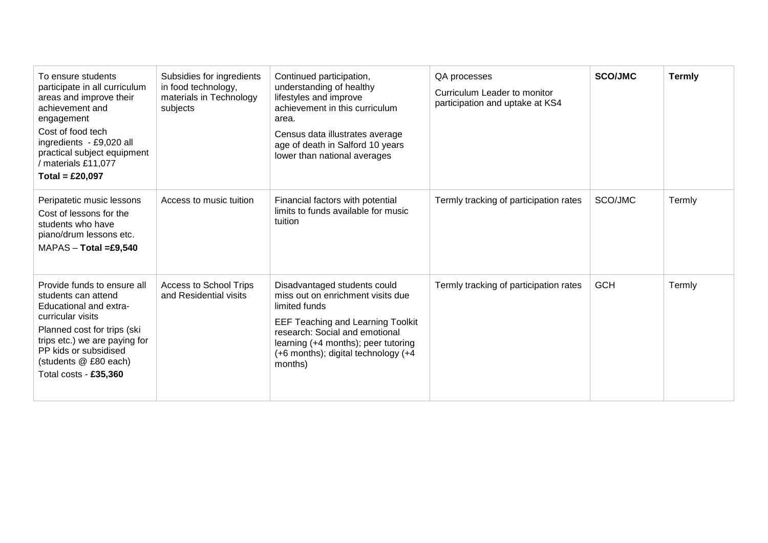| To ensure students<br>participate in all curriculum<br>areas and improve their<br>achievement and<br>engagement<br>Cost of food tech<br>ingredients - £9,020 all<br>practical subject equipment<br>/ materials £11,077<br>Total = $£20,097$  | Subsidies for ingredients<br>in food technology,<br>materials in Technology<br>subjects | Continued participation,<br>understanding of healthy<br>lifestyles and improve<br>achievement in this curriculum<br>area.<br>Census data illustrates average<br>age of death in Salford 10 years<br>lower than national averages                          | QA processes<br>Curriculum Leader to monitor<br>participation and uptake at KS4 | <b>SCO/JMC</b> | <b>Termly</b> |
|----------------------------------------------------------------------------------------------------------------------------------------------------------------------------------------------------------------------------------------------|-----------------------------------------------------------------------------------------|-----------------------------------------------------------------------------------------------------------------------------------------------------------------------------------------------------------------------------------------------------------|---------------------------------------------------------------------------------|----------------|---------------|
| Peripatetic music lessons<br>Cost of lessons for the<br>students who have<br>piano/drum lessons etc.<br>$MAPAS - Total = £9,540$                                                                                                             | Access to music tuition                                                                 | Financial factors with potential<br>limits to funds available for music<br>tuition                                                                                                                                                                        | Termly tracking of participation rates                                          | SCO/JMC        | Termly        |
| Provide funds to ensure all<br>students can attend<br>Educational and extra-<br>curricular visits<br>Planned cost for trips (ski<br>trips etc.) we are paying for<br>PP kids or subsidised<br>(students @ £80 each)<br>Total costs - £35,360 | <b>Access to School Trips</b><br>and Residential visits                                 | Disadvantaged students could<br>miss out on enrichment visits due<br>limited funds<br><b>EEF Teaching and Learning Toolkit</b><br>research: Social and emotional<br>learning (+4 months); peer tutoring<br>(+6 months); digital technology (+4<br>months) | Termly tracking of participation rates                                          | <b>GCH</b>     | Termly        |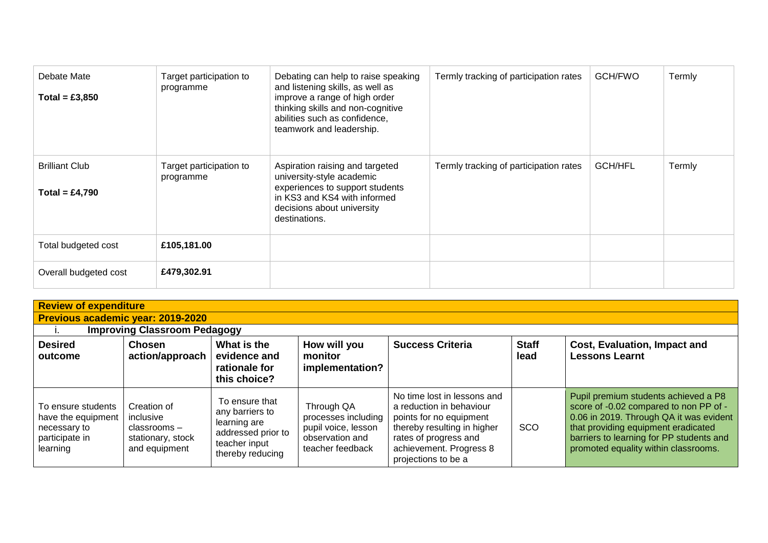| Debate Mate<br>Total = $£3,850$           | Target participation to<br>programme | Debating can help to raise speaking<br>and listening skills, as well as<br>improve a range of high order<br>thinking skills and non-cognitive<br>abilities such as confidence,<br>teamwork and leadership. | Termly tracking of participation rates | GCH/FWO        | Termly |
|-------------------------------------------|--------------------------------------|------------------------------------------------------------------------------------------------------------------------------------------------------------------------------------------------------------|----------------------------------------|----------------|--------|
| <b>Brilliant Club</b><br>Total = $£4,790$ | Target participation to<br>programme | Aspiration raising and targeted<br>university-style academic<br>experiences to support students<br>in KS3 and KS4 with informed<br>decisions about university<br>destinations.                             | Termly tracking of participation rates | <b>GCH/HFL</b> | Termly |
| Total budgeted cost                       | £105,181.00                          |                                                                                                                                                                                                            |                                        |                |        |
| Overall budgeted cost                     | £479,302.91                          |                                                                                                                                                                                                            |                                        |                |        |

| <b>Review of expenditure</b>                                                           |                                                                               |                                                                                                              |                                                                                                 |                                                                                                                                                                                              |                      |                                                                                                                                                                                                                                                      |  |  |  |  |
|----------------------------------------------------------------------------------------|-------------------------------------------------------------------------------|--------------------------------------------------------------------------------------------------------------|-------------------------------------------------------------------------------------------------|----------------------------------------------------------------------------------------------------------------------------------------------------------------------------------------------|----------------------|------------------------------------------------------------------------------------------------------------------------------------------------------------------------------------------------------------------------------------------------------|--|--|--|--|
|                                                                                        | Previous academic year: 2019-2020                                             |                                                                                                              |                                                                                                 |                                                                                                                                                                                              |                      |                                                                                                                                                                                                                                                      |  |  |  |  |
|                                                                                        | <b>Improving Classroom Pedagogy</b>                                           |                                                                                                              |                                                                                                 |                                                                                                                                                                                              |                      |                                                                                                                                                                                                                                                      |  |  |  |  |
| <b>Desired</b><br>outcome                                                              | <b>Chosen</b><br>action/approach                                              | What is the<br>evidence and<br>rationale for<br>this choice?                                                 | How will you<br>monitor<br>implementation?                                                      | <b>Success Criteria</b>                                                                                                                                                                      | <b>Staff</b><br>lead | Cost, Evaluation, Impact and<br><b>Lessons Learnt</b>                                                                                                                                                                                                |  |  |  |  |
| To ensure students<br>have the equipment<br>necessary to<br>participate in<br>learning | Creation of<br>inclusive<br>classrooms-<br>stationary, stock<br>and equipment | To ensure that<br>any barriers to<br>learning are<br>addressed prior to<br>teacher input<br>thereby reducing | Through QA<br>processes including<br>pupil voice, lesson<br>observation and<br>teacher feedback | No time lost in lessons and<br>a reduction in behaviour<br>points for no equipment<br>thereby resulting in higher<br>rates of progress and<br>achievement. Progress 8<br>projections to be a | SCO                  | Pupil premium students achieved a P8<br>score of -0.02 compared to non PP of -<br>0.06 in 2019. Through QA it was evident<br>that providing equipment eradicated<br>barriers to learning for PP students and<br>promoted equality within classrooms. |  |  |  |  |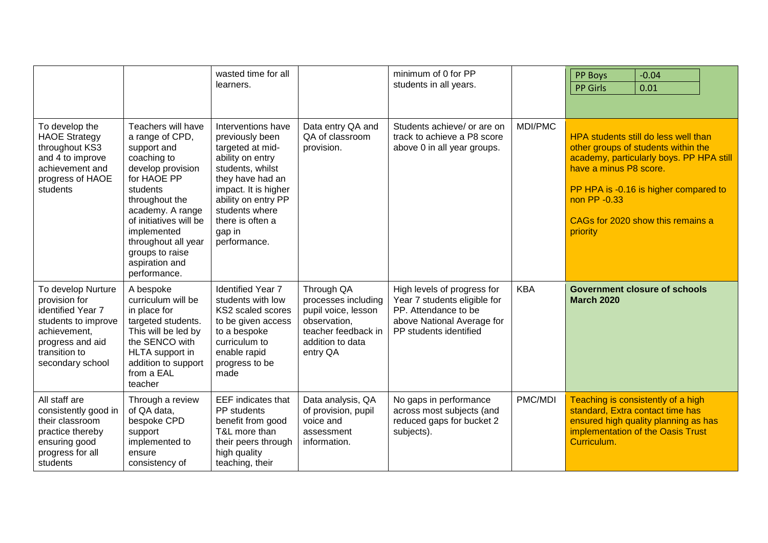|                                                                                                                                                          |                                                                                                                                                                                                                                                                                | wasted time for all<br>learners.                                                                                                                                                                                                     |                                                                                                                                 | minimum of 0 for PP<br>students in all years.                                                                                               |            | <b>PP Boys</b><br>$-0.04$<br><b>PP Girls</b><br>0.01                                                                                                                                                                                                        |
|----------------------------------------------------------------------------------------------------------------------------------------------------------|--------------------------------------------------------------------------------------------------------------------------------------------------------------------------------------------------------------------------------------------------------------------------------|--------------------------------------------------------------------------------------------------------------------------------------------------------------------------------------------------------------------------------------|---------------------------------------------------------------------------------------------------------------------------------|---------------------------------------------------------------------------------------------------------------------------------------------|------------|-------------------------------------------------------------------------------------------------------------------------------------------------------------------------------------------------------------------------------------------------------------|
| To develop the<br><b>HAOE Strategy</b><br>throughout KS3<br>and 4 to improve<br>achievement and<br>progress of HAOE<br>students                          | Teachers will have<br>a range of CPD,<br>support and<br>coaching to<br>develop provision<br>for HAOE PP<br>students<br>throughout the<br>academy. A range<br>of initiatives will be<br>implemented<br>throughout all year<br>groups to raise<br>aspiration and<br>performance. | Interventions have<br>previously been<br>targeted at mid-<br>ability on entry<br>students, whilst<br>they have had an<br>impact. It is higher<br>ability on entry PP<br>students where<br>there is often a<br>gap in<br>performance. | Data entry QA and<br>QA of classroom<br>provision.                                                                              | Students achieve/ or are on<br>track to achieve a P8 score<br>above 0 in all year groups.                                                   | MDI/PMC    | HPA students still do less well than<br>other groups of students within the<br>academy, particularly boys. PP HPA still<br>have a minus P8 score.<br>PP HPA is -0.16 is higher compared to<br>non PP -0.33<br>CAGs for 2020 show this remains a<br>priority |
| To develop Nurture<br>provision for<br>identified Year 7<br>students to improve<br>achievement,<br>progress and aid<br>transition to<br>secondary school | A bespoke<br>curriculum will be<br>in place for<br>targeted students.<br>This will be led by<br>the SENCO with<br>HLTA support in<br>addition to support<br>from a EAL<br>teacher                                                                                              | <b>Identified Year 7</b><br>students with low<br>KS2 scaled scores<br>to be given access<br>to a bespoke<br>curriculum to<br>enable rapid<br>progress to be<br>made                                                                  | Through QA<br>processes including<br>pupil voice, lesson<br>observation,<br>teacher feedback in<br>addition to data<br>entry QA | High levels of progress for<br>Year 7 students eligible for<br>PP. Attendance to be<br>above National Average for<br>PP students identified | <b>KBA</b> | <b>Government closure of schools</b><br><b>March 2020</b>                                                                                                                                                                                                   |
| All staff are<br>consistently good in<br>their classroom<br>practice thereby<br>ensuring good<br>progress for all<br>students                            | Through a review<br>of QA data,<br>bespoke CPD<br>support<br>implemented to<br>ensure<br>consistency of                                                                                                                                                                        | EEF indicates that<br>PP students<br>benefit from good<br>T&L more than<br>their peers through<br>high quality<br>teaching, their                                                                                                    | Data analysis, QA<br>of provision, pupil<br>voice and<br>assessment<br>information.                                             | No gaps in performance<br>across most subjects (and<br>reduced gaps for bucket 2<br>subjects).                                              | PMC/MDI    | Teaching is consistently of a high<br>standard, Extra contact time has<br>ensured high quality planning as has<br>implementation of the Oasis Trust<br>Curriculum.                                                                                          |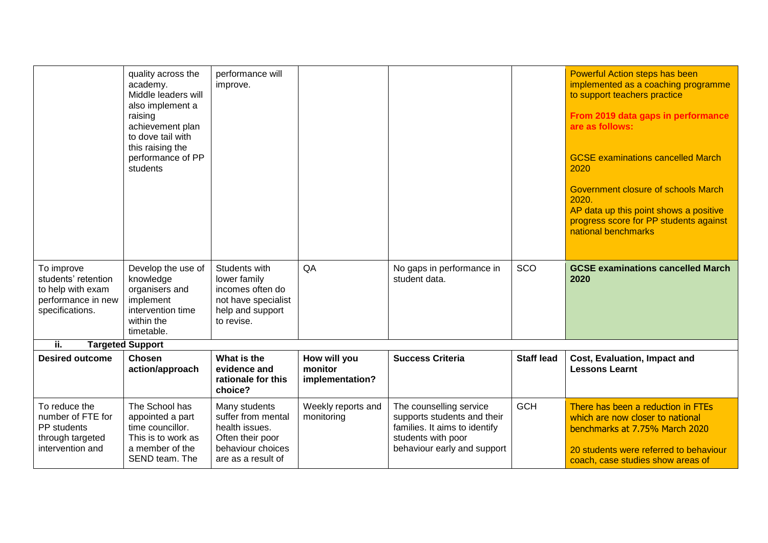|                                                                                                 | quality across the<br>academy.<br>Middle leaders will<br>also implement a<br>raising<br>achievement plan<br>to dove tail with<br>this raising the<br>performance of PP<br>students | performance will<br>improve.                                                                                         |                                            |                                                                                                                                              |                   | Powerful Action steps has been<br>implemented as a coaching programme<br>to support teachers practice<br>From 2019 data gaps in performance<br>are as follows:<br><b>GCSE examinations cancelled March</b><br>2020<br>Government closure of schools March<br>2020.<br>AP data up this point shows a positive<br>progress score for PP students against<br>national benchmarks |
|-------------------------------------------------------------------------------------------------|------------------------------------------------------------------------------------------------------------------------------------------------------------------------------------|----------------------------------------------------------------------------------------------------------------------|--------------------------------------------|----------------------------------------------------------------------------------------------------------------------------------------------|-------------------|-------------------------------------------------------------------------------------------------------------------------------------------------------------------------------------------------------------------------------------------------------------------------------------------------------------------------------------------------------------------------------|
| To improve<br>students' retention<br>to help with exam<br>performance in new<br>specifications. | Develop the use of<br>knowledge<br>organisers and<br>implement<br>intervention time<br>within the<br>timetable.                                                                    | Students with<br>lower family<br>incomes often do<br>not have specialist<br>help and support<br>to revise.           | QA                                         | No gaps in performance in<br>student data.                                                                                                   | SCO               | <b>GCSE examinations cancelled March</b><br>2020                                                                                                                                                                                                                                                                                                                              |
| ii.                                                                                             | <b>Targeted Support</b>                                                                                                                                                            |                                                                                                                      |                                            |                                                                                                                                              |                   |                                                                                                                                                                                                                                                                                                                                                                               |
| <b>Desired outcome</b>                                                                          | Chosen<br>action/approach                                                                                                                                                          | What is the<br>evidence and<br>rationale for this<br>choice?                                                         | How will you<br>monitor<br>implementation? | <b>Success Criteria</b>                                                                                                                      | <b>Staff lead</b> | Cost, Evaluation, Impact and<br><b>Lessons Learnt</b>                                                                                                                                                                                                                                                                                                                         |
| To reduce the<br>number of FTE for<br>PP students<br>through targeted<br>intervention and       | The School has<br>appointed a part<br>time councillor.<br>This is to work as<br>a member of the<br>SEND team. The                                                                  | Many students<br>suffer from mental<br>health issues.<br>Often their poor<br>behaviour choices<br>are as a result of | Weekly reports and<br>monitoring           | The counselling service<br>supports students and their<br>families. It aims to identify<br>students with poor<br>behaviour early and support | <b>GCH</b>        | There has been a reduction in FTEs<br>which are now closer to national<br>benchmarks at 7.75% March 2020<br>20 students were referred to behaviour<br>coach, case studies show areas of                                                                                                                                                                                       |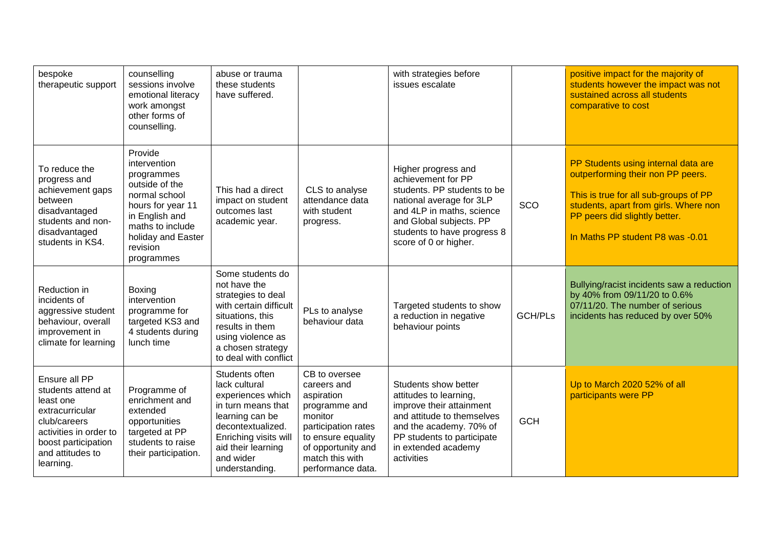| bespoke<br>therapeutic support                                                                                                                                        | counselling<br>sessions involve<br>emotional literacy<br>work amongst<br>other forms of<br>counselling.                                                                             | abuse or trauma<br>these students<br>have suffered.                                                                                                                                              |                                                                                                                                                                                   | with strategies before<br>issues escalate                                                                                                                                                                            |                | positive impact for the majority of<br>students however the impact was not<br>sustained across all students<br>comparative to cost                                                                                              |
|-----------------------------------------------------------------------------------------------------------------------------------------------------------------------|-------------------------------------------------------------------------------------------------------------------------------------------------------------------------------------|--------------------------------------------------------------------------------------------------------------------------------------------------------------------------------------------------|-----------------------------------------------------------------------------------------------------------------------------------------------------------------------------------|----------------------------------------------------------------------------------------------------------------------------------------------------------------------------------------------------------------------|----------------|---------------------------------------------------------------------------------------------------------------------------------------------------------------------------------------------------------------------------------|
| To reduce the<br>progress and<br>achievement gaps<br>between<br>disadvantaged<br>students and non-<br>disadvantaged<br>students in KS4.                               | Provide<br>intervention<br>programmes<br>outside of the<br>normal school<br>hours for year 11<br>in English and<br>maths to include<br>holiday and Easter<br>revision<br>programmes | This had a direct<br>impact on student<br>outcomes last<br>academic year.                                                                                                                        | CLS to analyse<br>attendance data<br>with student<br>progress.                                                                                                                    | Higher progress and<br>achievement for PP<br>students. PP students to be<br>national average for 3LP<br>and 4LP in maths, science<br>and Global subjects. PP<br>students to have progress 8<br>score of 0 or higher. | SCO            | PP Students using internal data are<br>outperforming their non PP peers.<br>This is true for all sub-groups of PP<br>students, apart from girls. Where non<br>PP peers did slightly better.<br>In Maths PP student P8 was -0.01 |
| Reduction in<br>incidents of<br>aggressive student<br>behaviour, overall<br>improvement in<br>climate for learning                                                    | Boxing<br>intervention<br>programme for<br>targeted KS3 and<br>4 students during<br>lunch time                                                                                      | Some students do<br>not have the<br>strategies to deal<br>with certain difficult<br>situations, this<br>results in them<br>using violence as<br>a chosen strategy<br>to deal with conflict       | PLs to analyse<br>behaviour data                                                                                                                                                  | Targeted students to show<br>a reduction in negative<br>behaviour points                                                                                                                                             | <b>GCH/PLs</b> | Bullying/racist incidents saw a reduction<br>by 40% from 09/11/20 to 0.6%<br>07/11/20. The number of serious<br>incidents has reduced by over 50%                                                                               |
| Ensure all PP<br>students attend at<br>least one<br>extracurricular<br>club/careers<br>activities in order to<br>boost participation<br>and attitudes to<br>learning. | Programme of<br>enrichment and<br>extended<br>opportunities<br>targeted at PP<br>students to raise<br>their participation.                                                          | Students often<br>lack cultural<br>experiences which<br>in turn means that<br>learning can be<br>decontextualized.<br>Enriching visits will<br>aid their learning<br>and wider<br>understanding. | CB to oversee<br>careers and<br>aspiration<br>programme and<br>monitor<br>participation rates<br>to ensure equality<br>of opportunity and<br>match this with<br>performance data. | Students show better<br>attitudes to learning,<br>improve their attainment<br>and attitude to themselves<br>and the academy. 70% of<br>PP students to participate<br>in extended academy<br>activities               | <b>GCH</b>     | Up to March 2020 52% of all<br>participants were PP                                                                                                                                                                             |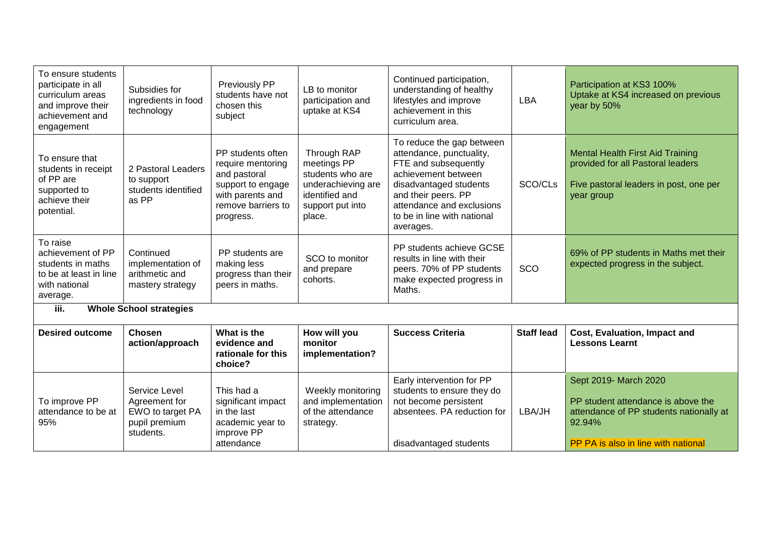| To ensure students<br>participate in all<br>curriculum areas<br>and improve their<br>achievement and<br>engagement | Subsidies for<br>ingredients in food<br>technology                               | Previously PP<br>students have not<br>chosen this<br>subject                                                                       | LB to monitor<br>participation and<br>uptake at KS4                                                                  | Continued participation,<br>understanding of healthy<br>lifestyles and improve<br>achievement in this<br>curriculum area.                                                                                                      | <b>LBA</b>        | Participation at KS3 100%<br>Uptake at KS4 increased on previous<br>year by 50%                                                                         |
|--------------------------------------------------------------------------------------------------------------------|----------------------------------------------------------------------------------|------------------------------------------------------------------------------------------------------------------------------------|----------------------------------------------------------------------------------------------------------------------|--------------------------------------------------------------------------------------------------------------------------------------------------------------------------------------------------------------------------------|-------------------|---------------------------------------------------------------------------------------------------------------------------------------------------------|
| To ensure that<br>students in receipt<br>of PP are<br>supported to<br>achieve their<br>potential.                  | 2 Pastoral Leaders<br>to support<br>students identified<br>as PP                 | PP students often<br>require mentoring<br>and pastoral<br>support to engage<br>with parents and<br>remove barriers to<br>progress. | Through RAP<br>meetings PP<br>students who are<br>underachieving are<br>identified and<br>support put into<br>place. | To reduce the gap between<br>attendance, punctuality,<br>FTE and subsequently<br>achievement between<br>disadvantaged students<br>and their peers. PP<br>attendance and exclusions<br>to be in line with national<br>averages. | SCO/CLs           | <b>Mental Health First Aid Training</b><br>provided for all Pastoral leaders<br>Five pastoral leaders in post, one per<br>year group                    |
| To raise<br>achievement of PP<br>students in maths<br>to be at least in line<br>with national<br>average.          | Continued<br>implementation of<br>arithmetic and<br>mastery strategy             | PP students are<br>making less<br>progress than their<br>peers in maths.                                                           | SCO to monitor<br>and prepare<br>cohorts.                                                                            | PP students achieve GCSE<br>results in line with their<br>peers. 70% of PP students<br>make expected progress in<br>Maths.                                                                                                     | SCO               | 69% of PP students in Maths met their<br>expected progress in the subject.                                                                              |
| iii.                                                                                                               | <b>Whole School strategies</b>                                                   |                                                                                                                                    |                                                                                                                      |                                                                                                                                                                                                                                |                   |                                                                                                                                                         |
| <b>Desired outcome</b>                                                                                             | <b>Chosen</b><br>action/approach                                                 | What is the<br>evidence and<br>rationale for this<br>choice?                                                                       | How will you<br>monitor<br>implementation?                                                                           | <b>Success Criteria</b>                                                                                                                                                                                                        | <b>Staff lead</b> | Cost, Evaluation, Impact and<br><b>Lessons Learnt</b>                                                                                                   |
| To improve PP<br>attendance to be at<br>95%                                                                        | Service Level<br>Agreement for<br>EWO to target PA<br>pupil premium<br>students. | This had a<br>significant impact<br>in the last<br>academic year to<br>improve PP<br>attendance                                    | Weekly monitoring<br>and implementation<br>of the attendance<br>strategy.                                            | Early intervention for PP<br>students to ensure they do<br>not become persistent<br>absentees. PA reduction for<br>disadvantaged students                                                                                      | LBA/JH            | Sept 2019- March 2020<br>PP student attendance is above the<br>attendance of PP students nationally at<br>92.94%<br>PP PA is also in line with national |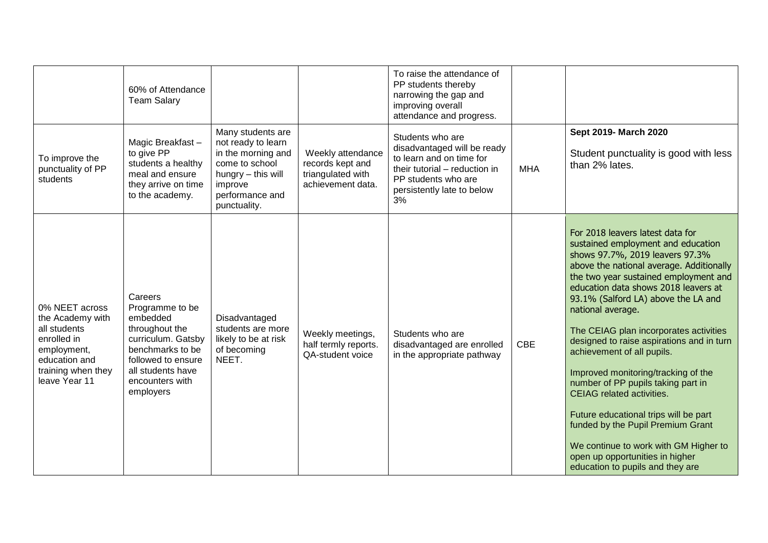|                                                                                                                                          | 60% of Attendance<br><b>Team Salary</b>                                                                                                                                       |                                                                                                                                                     |                                                                                 | To raise the attendance of<br>PP students thereby<br>narrowing the gap and<br>improving overall<br>attendance and progress.                                             |            |                                                                                                                                                                                                                                                                                                                                                                                                                                                                                                                                                                                                                                                                                                                                        |
|------------------------------------------------------------------------------------------------------------------------------------------|-------------------------------------------------------------------------------------------------------------------------------------------------------------------------------|-----------------------------------------------------------------------------------------------------------------------------------------------------|---------------------------------------------------------------------------------|-------------------------------------------------------------------------------------------------------------------------------------------------------------------------|------------|----------------------------------------------------------------------------------------------------------------------------------------------------------------------------------------------------------------------------------------------------------------------------------------------------------------------------------------------------------------------------------------------------------------------------------------------------------------------------------------------------------------------------------------------------------------------------------------------------------------------------------------------------------------------------------------------------------------------------------------|
| To improve the<br>punctuality of PP<br>students                                                                                          | Magic Breakfast-<br>to give PP<br>students a healthy<br>meal and ensure<br>they arrive on time<br>to the academy.                                                             | Many students are<br>not ready to learn<br>in the morning and<br>come to school<br>hungry - this will<br>improve<br>performance and<br>punctuality. | Weekly attendance<br>records kept and<br>triangulated with<br>achievement data. | Students who are<br>disadvantaged will be ready<br>to learn and on time for<br>their tutorial - reduction in<br>PP students who are<br>persistently late to below<br>3% | <b>MHA</b> | Sept 2019- March 2020<br>Student punctuality is good with less<br>than 2% lates.                                                                                                                                                                                                                                                                                                                                                                                                                                                                                                                                                                                                                                                       |
| 0% NEET across<br>the Academy with<br>all students<br>enrolled in<br>employment,<br>education and<br>training when they<br>leave Year 11 | Careers<br>Programme to be<br>embedded<br>throughout the<br>curriculum. Gatsby<br>benchmarks to be<br>followed to ensure<br>all students have<br>encounters with<br>employers | Disadvantaged<br>students are more<br>likely to be at risk<br>of becoming<br>NEET.                                                                  | Weekly meetings,<br>half termly reports.<br>QA-student voice                    | Students who are<br>disadvantaged are enrolled<br>in the appropriate pathway                                                                                            | <b>CBE</b> | For 2018 leavers latest data for<br>sustained employment and education<br>shows 97.7%, 2019 leavers 97.3%<br>above the national average. Additionally<br>the two year sustained employment and<br>education data shows 2018 leavers at<br>93.1% (Salford LA) above the LA and<br>national average.<br>The CEIAG plan incorporates activities<br>designed to raise aspirations and in turn<br>achievement of all pupils.<br>Improved monitoring/tracking of the<br>number of PP pupils taking part in<br><b>CEIAG</b> related activities.<br>Future educational trips will be part<br>funded by the Pupil Premium Grant<br>We continue to work with GM Higher to<br>open up opportunities in higher<br>education to pupils and they are |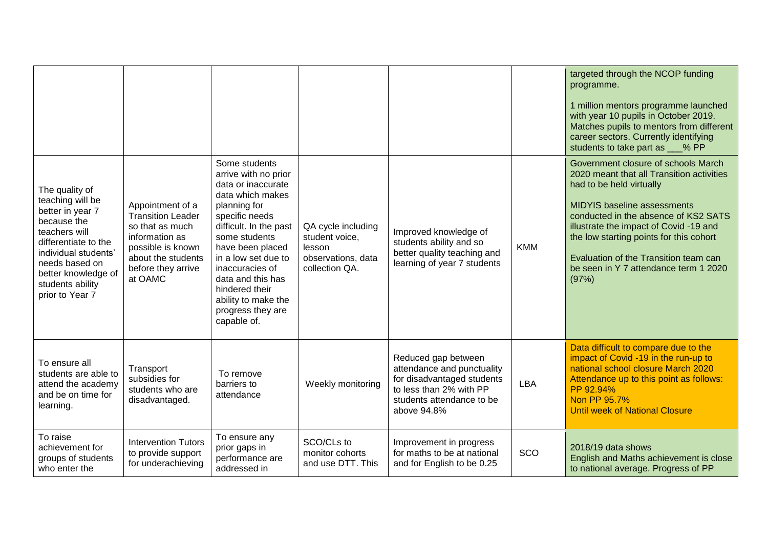|                                                                                                                                                                                                                        |                                                                                                                                                               |                                                                                                                                                                                                                                                                                                                              |                                                                                        |                                                                                                                                                        |            | targeted through the NCOP funding<br>programme.<br>1 million mentors programme launched<br>with year 10 pupils in October 2019.<br>Matches pupils to mentors from different<br>career sectors. Currently identifying<br>students to take part as ___% PP                                                                                                                   |
|------------------------------------------------------------------------------------------------------------------------------------------------------------------------------------------------------------------------|---------------------------------------------------------------------------------------------------------------------------------------------------------------|------------------------------------------------------------------------------------------------------------------------------------------------------------------------------------------------------------------------------------------------------------------------------------------------------------------------------|----------------------------------------------------------------------------------------|--------------------------------------------------------------------------------------------------------------------------------------------------------|------------|----------------------------------------------------------------------------------------------------------------------------------------------------------------------------------------------------------------------------------------------------------------------------------------------------------------------------------------------------------------------------|
| The quality of<br>teaching will be<br>better in year 7<br>because the<br>teachers will<br>differentiate to the<br>individual students'<br>needs based on<br>better knowledge of<br>students ability<br>prior to Year 7 | Appointment of a<br><b>Transition Leader</b><br>so that as much<br>information as<br>possible is known<br>about the students<br>before they arrive<br>at OAMC | Some students<br>arrive with no prior<br>data or inaccurate<br>data which makes<br>planning for<br>specific needs<br>difficult. In the past<br>some students<br>have been placed<br>in a low set due to<br>inaccuracies of<br>data and this has<br>hindered their<br>ability to make the<br>progress they are<br>capable of. | QA cycle including<br>student voice,<br>lesson<br>observations, data<br>collection QA. | Improved knowledge of<br>students ability and so<br>better quality teaching and<br>learning of year 7 students                                         | <b>KMM</b> | Government closure of schools March<br>2020 meant that all Transition activities<br>had to be held virtually<br><b>MIDYIS baseline assessments</b><br>conducted in the absence of KS2 SATS<br>illustrate the impact of Covid -19 and<br>the low starting points for this cohort<br>Evaluation of the Transition team can<br>be seen in Y 7 attendance term 1 2020<br>(97%) |
| To ensure all<br>students are able to<br>attend the academy<br>and be on time for<br>learning.                                                                                                                         | Transport<br>subsidies for<br>students who are<br>disadvantaged.                                                                                              | To remove<br>barriers to<br>attendance                                                                                                                                                                                                                                                                                       | Weekly monitoring                                                                      | Reduced gap between<br>attendance and punctuality<br>for disadvantaged students<br>to less than 2% with PP<br>students attendance to be<br>above 94.8% | <b>LBA</b> | Data difficult to compare due to the<br>impact of Covid -19 in the run-up to<br>national school closure March 2020<br>Attendance up to this point as follows:<br>PP 92.94%<br>Non PP 95.7%<br><b>Until week of National Closure</b>                                                                                                                                        |
| To raise<br>achievement for<br>groups of students<br>who enter the                                                                                                                                                     | <b>Intervention Tutors</b><br>to provide support<br>for underachieving                                                                                        | To ensure any<br>prior gaps in<br>performance are<br>addressed in                                                                                                                                                                                                                                                            | SCO/CLs to<br>monitor cohorts<br>and use DTT. This                                     | Improvement in progress<br>for maths to be at national<br>and for English to be 0.25                                                                   | SCO        | 2018/19 data shows<br>English and Maths achievement is close<br>to national average. Progress of PP                                                                                                                                                                                                                                                                        |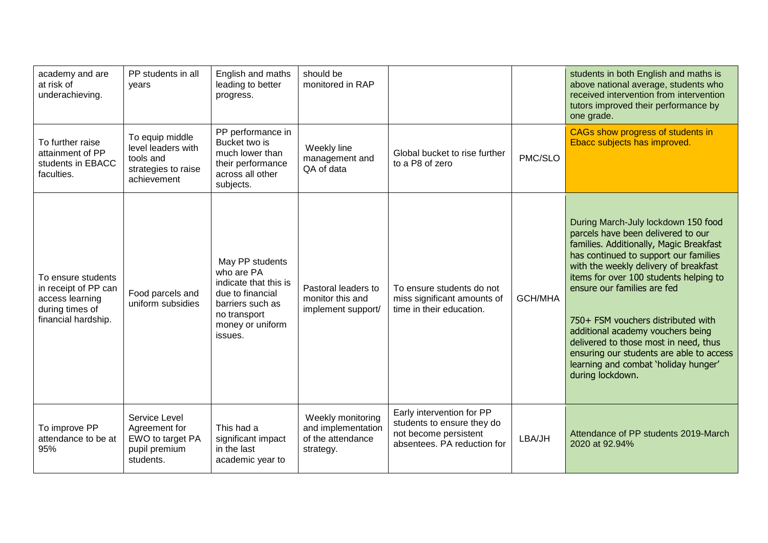| academy and are<br>at risk of<br>underachieving.                                                        | PP students in all<br>years                                                              | English and maths<br>leading to better<br>progress.                                                                                           | should be<br>monitored in RAP                                             |                                                                                                                 |                | students in both English and maths is<br>above national average, students who<br>received intervention from intervention<br>tutors improved their performance by<br>one grade.                                                                                                                                                                                                                                                                                                                              |
|---------------------------------------------------------------------------------------------------------|------------------------------------------------------------------------------------------|-----------------------------------------------------------------------------------------------------------------------------------------------|---------------------------------------------------------------------------|-----------------------------------------------------------------------------------------------------------------|----------------|-------------------------------------------------------------------------------------------------------------------------------------------------------------------------------------------------------------------------------------------------------------------------------------------------------------------------------------------------------------------------------------------------------------------------------------------------------------------------------------------------------------|
| To further raise<br>attainment of PP<br>students in EBACC<br>faculties.                                 | To equip middle<br>level leaders with<br>tools and<br>strategies to raise<br>achievement | PP performance in<br>Bucket two is<br>much lower than<br>their performance<br>across all other<br>subjects.                                   | Weekly line<br>management and<br>QA of data                               | Global bucket to rise further<br>to a P8 of zero                                                                | PMC/SLO        | CAGs show progress of students in<br>Ebacc subjects has improved.                                                                                                                                                                                                                                                                                                                                                                                                                                           |
| To ensure students<br>in receipt of PP can<br>access learning<br>during times of<br>financial hardship. | Food parcels and<br>uniform subsidies                                                    | May PP students<br>who are PA<br>indicate that this is<br>due to financial<br>barriers such as<br>no transport<br>money or uniform<br>issues. | Pastoral leaders to<br>monitor this and<br>implement support/             | To ensure students do not<br>miss significant amounts of<br>time in their education.                            | <b>GCH/MHA</b> | During March-July lockdown 150 food<br>parcels have been delivered to our<br>families. Additionally, Magic Breakfast<br>has continued to support our families<br>with the weekly delivery of breakfast<br>items for over 100 students helping to<br>ensure our families are fed<br>750+ FSM vouchers distributed with<br>additional academy vouchers being<br>delivered to those most in need, thus<br>ensuring our students are able to access<br>learning and combat 'holiday hunger'<br>during lockdown. |
| To improve PP<br>attendance to be at<br>95%                                                             | Service Level<br>Agreement for<br>EWO to target PA<br>pupil premium<br>students.         | This had a<br>significant impact<br>in the last<br>academic year to                                                                           | Weekly monitoring<br>and implementation<br>of the attendance<br>strategy. | Early intervention for PP<br>students to ensure they do<br>not become persistent<br>absentees. PA reduction for | LBA/JH         | Attendance of PP students 2019-March<br>2020 at 92.94%                                                                                                                                                                                                                                                                                                                                                                                                                                                      |